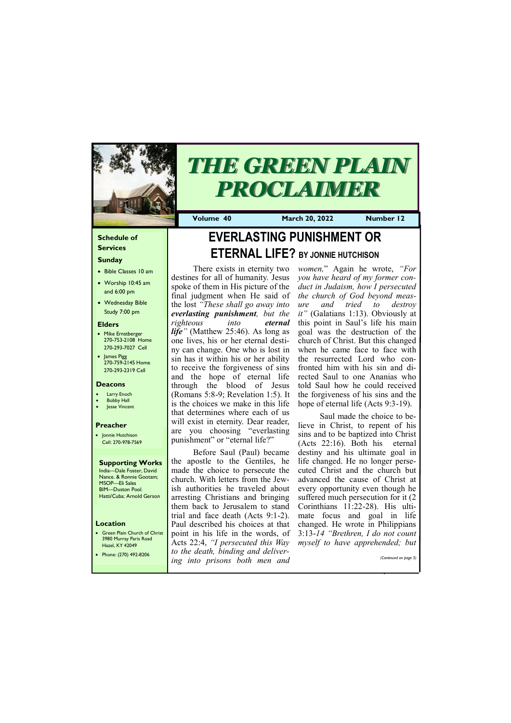#### **Schedule of Services**

#### **Sunday**

- Bible Classes 10 am
- Worship 10:45 am and 6:00 pm
- Wednesday Bible Study 7:00 pm

#### **Elders**

- Mike Ernstberger 270-753-2108 Home 270-293-7027 Cell
- James Pigg 270-759-2145 Home 270-293-2319 Cell

#### **Location**

• Green Plain Church of Christ 3980 Murray Paris Road Hazel, KY 42049



# *THE GREEN PLAIN PROCLAIMER*

**Volume 40 March 20, 2022 Number 12**

#### **Deacons**

- **Larry Enoch**
- **Bobby Hall**
- Jesse Vincent

#### **Preacher**

• Jonnie Hutchison Cell: 270-978-7569

**Supporting Works** India—Dale Foster, David Nance. & Ronnie Gootam; MSOP—Eli Sales BIM—Duston Pool. Hatti/Cuba: Arnold Gerson

# **EVERLASTING PUNISHMENT OR ETERNAL LIFE? BY JONNIE HUTCHISON**

*women,*" Again he wrote, *"For you have heard of my former conduct in Judaism, how I persecuted the church of God beyond measure and tried to destroy it"* (Galatians 1:13). Obviously at this point in Saul's life his main goal was the destruction of the church of Christ. But this changed when he came face to face with the resurrected Lord who confronted him with his sin and directed Saul to one Ananias who told Saul how he could received the forgiveness of his sins and the hope of eternal life (Acts 9:3-19).

There exists in eternity two destines for all of humanity. Jesus spoke of them in His picture of the final judgment when He said of the lost *"These shall go away into everlasting punishment, but the righteous into eternal life"* (Matthew 25:46). As long as one lives, his or her eternal destiny can change. One who is lost in sin has it within his or her ability to receive the forgiveness of sins and the hope of eternal life through the blood of Jesus (Romans 5:8-9; Revelation 1:5). It is the choices we make in this life that determines where each of us will exist in eternity. Dear reader, are you choosing "everlasting punishment" or "eternal life?"

Before Saul (Paul) became the apostle to the Gentiles, he made the choice to persecute the church. With letters from the Jewish authorities he traveled about arresting Christians and bringing them back to Jerusalem to stand trial and face death (Acts 9:1-2). Paul described his choices at that point in his life in the words, of Acts 22:4, *"I persecuted this Way* 

Saul made the choice to believe in Christ, to repent of his sins and to be baptized into Christ (Acts 22:16). Both his eternal destiny and his ultimate goal in life changed. He no longer persecuted Christ and the church but advanced the cause of Christ at every opportunity even though he suffered much persecution for it (2 Corinthians 11:22-28). His ultimate focus and goal in life changed. He wrote in Philippians 3:13-*14 "Brethren, I do not count myself to have apprehended; but*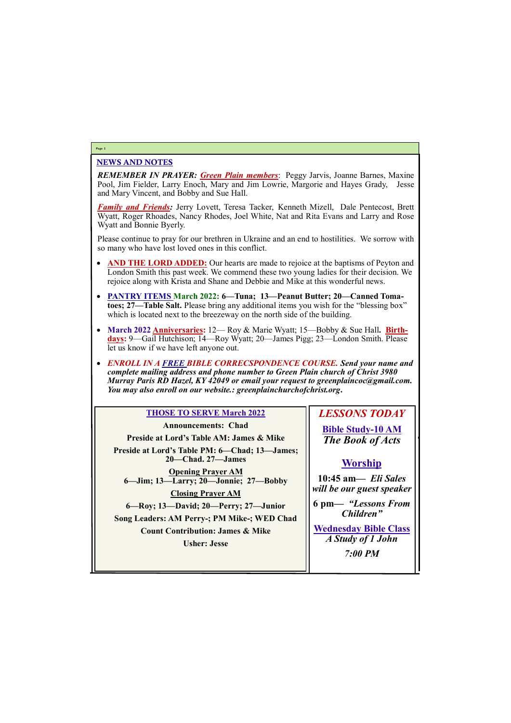#### NEWS AND NOTES

*REMEMBER IN PRAYER: Green Plain members*: Peggy Jarvis, Joanne Barnes, Maxine Pool, Jim Fielder, Larry Enoch, Mary and Jim Lowrie, Margorie and Hayes Grady, Jesse and Mary Vincent, and Bobby and Sue Hall.

*Family and Friends:* Jerry Lovett, Teresa Tacker, Kenneth Mizell, Dale Pentecost, Brett Wyatt, Roger Rhoades, Nancy Rhodes, Joel White, Nat and Rita Evans and Larry and Rose Wyatt and Bonnie Byerly.

Please continue to pray for our brethren in Ukraine and an end to hostilities. We sorrow with so many who have lost loved ones in this conflict.

> *Children"* **<u>Bible Class</u>**

- **AND THE LORD ADDED:** Our hearts are made to rejoice at the baptisms of Peyton and London Smith this past week. We commend these two young ladies for their decision. We rejoice along with Krista and Shane and Debbie and Mike at this wonderful news.
- **PANTRY ITEMS March 2022: 6—Tuna; 13—Peanut Butter; 20—Canned Tomatoes; 27—Table Salt.** Please bring any additional items you wish for the "blessing box" which is located next to the breezeway on the north side of the building.
- March 2022 **Anniversaries:** 12— Roy & Marie Wyatt; 15—Bobby & Sue Hall. **Birthdays:** 9—Gail Hutchison; 14—Roy Wyatt; 20—James Pigg; 23—London Smith. Please let us know if we have left anyone out.
- *ENROLL IN A FREE BIBLE CORRECSPONDENCE COURSE. Send your name and complete mailing address and phone number to Green Plain church of Christ 3980 Murray Paris RD Hazel, KY 42049 or email your request to greenplaincoc@gmail.com. You may also enroll on our website.: greenplainchurchofchrist.org***.**

#### **Page 2**

| <b>THOSE TO SERVE March 2022</b>                                 | <b>LESSONS TODA</b>            |
|------------------------------------------------------------------|--------------------------------|
| <b>Announcements: Chad</b>                                       | <b>Bible Study-10 AM</b>       |
| <b>Preside at Lord's Table AM: James &amp; Mike</b>              | The Book of Acts               |
| Preside at Lord's Table PM: 6-Chad; 13-James;                    |                                |
| 20—Chad. 27—James                                                | <b>Worship</b>                 |
| <b>Opening Prayer AM</b><br>6-Jim; 13-Larry; 20-Jonnie; 27-Bobby | 10:45 am— Eli Sal              |
| <b>Closing Prayer AM</b>                                         | will be our guest spea         |
| 6—Roy; 13—David; 20—Perry; 27—Junior                             | 6 pm— "Lessons Fr<br>Children" |
| Song Leaders: AM Perry-; PM Mike-; WED Chad                      |                                |
| <b>Count Contribution: James &amp; Mike</b>                      | <b>Wednesday Bible Cl</b>      |
| <b>Usher: Jesse</b>                                              | A Study of 1 John              |

## *LESSONS TODAY*

**Bible Study-10 AM** *The Book of Acts*

# <u>ship</u>

| Usher: Jesse | 11.0           |
|--------------|----------------|
|              | <b>7:00 PM</b> |
|              |                |
|              |                |
|              |                |

**10:45 am***— Eli Sales will be our guest speaker* **6 pm—** *"Lessons From*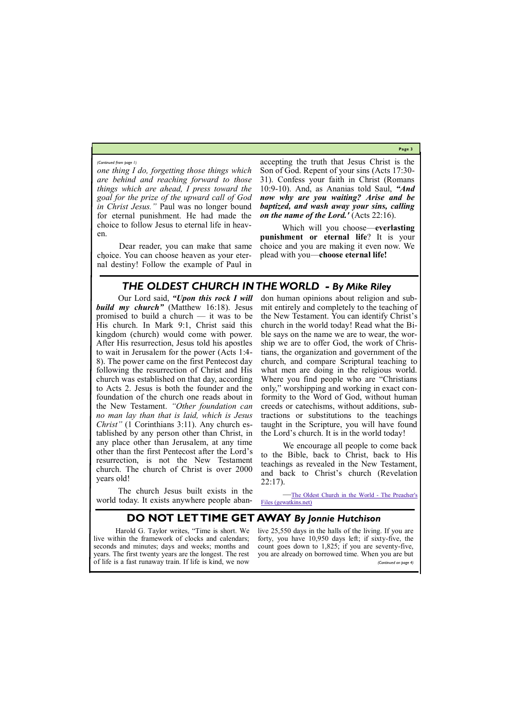**Page 3**

# *THE OLDEST CHURCH IN THE WORLD - By Mike Riley*

*one thing I do, forgetting those things which are behind and reaching forward to those things which are ahead, I press toward the goal for the prize of the upward call of God in Christ Jesus."* Paul was no longer bound for eternal punishment. He had made the choice to follow Jesus to eternal life in heaven.

Dear reader, you can make that same choice. You can choose heaven as your eternal destiny! Follow the example of Paul in

accepting the truth that Jesus Christ is the Son of God. Repent of your sins (Acts 17:30- 31). Confess your faith in Christ (Romans 10:9-10). And, as Ananias told Saul, *"And now why are you waiting? Arise and be baptized, and wash away your sins, calling on the name of the Lord.'* (Acts 22:16).

Which will you choose—**everlasting punishment or eternal life**? It is your choice and you are making it even now. We plead with you—**choose eternal life!**

*(Continued from page 1)*

Our Lord said, *"Upon this rock I will build my church"* (Matthew 16:18). Jesus promised to build a church — it was to be His church. In Mark 9:1, Christ said this kingdom (church) would come with power. After His resurrection, Jesus told his apostles to wait in Jerusalem for the power (Acts 1:4- 8). The power came on the first Pentecost day following the resurrection of Christ and His church was established on that day, according to Acts 2. Jesus is both the founder and the foundation of the church one reads about in the New Testament. *"Other foundation can no man lay than that is laid, which is Jesus Christ"* (1 Corinthians 3:11). Any church established by any person other than Christ, in any place other than Jerusalem, at any time other than the first Pentecost after the Lord's resurrection, is not the New Testament church. The church of Christ is over 2000 years old!

The church Jesus built exists in the world today. It exists anywhere people abandon human opinions about religion and submit entirely and completely to the teaching of the New Testament. You can identify Christ's church in the world today! Read what the Bible says on the name we are to wear, the worship we are to offer God, the work of Christians, the organization and government of the church, and compare Scriptural teaching to what men are doing in the religious world. Where you find people who are "Christians only," worshipping and working in exact conformity to the Word of God, without human creeds or catechisms, without additions, subtractions or substitutions to the teachings taught in the Scripture, you will have found the Lord's church. It is in the world today!

We encourage all people to come back to the Bible, back to Christ, back to His teachings as revealed in the New Testament, and back to Christ's church (Revelation 22:17).

—[The Oldest Church in the World](https://gewatkins.net/the-oldest-church-in-the-world/) - The Preacher's [Files \(gewatkins.net\)](https://gewatkins.net/the-oldest-church-in-the-world/)

### **DO NOT LET TIME GET AWAY** *By Jonnie Hutchison*

Harold G. Taylor writes, "Time is short. We live within the framework of clocks and calendars; seconds and minutes; days and weeks; months and count goes down to 1,825; if you are seventy-five, years. The first twenty years are the longest. The rest you are already on borrowed time. When you are but of life is a fast runaway train. If life is kind, we now

live 25,550 days in the halls of the living. If you are forty, you have 10,950 days left; if sixty-five, the *(Continued on page 4)*